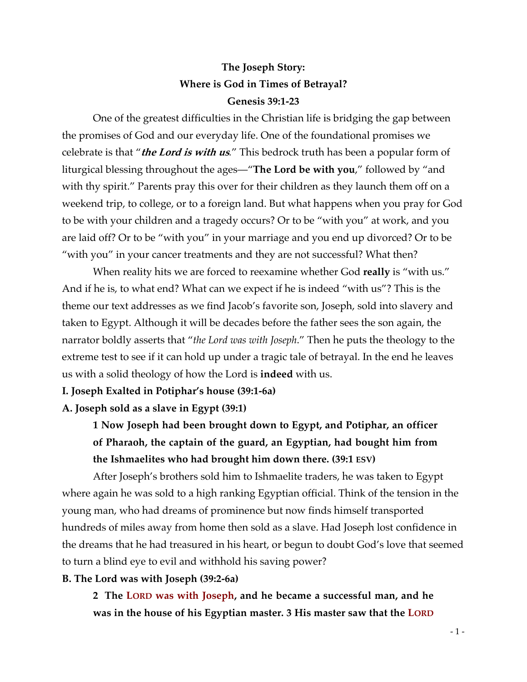# **The Joseph Story: Where is God in Times of Betrayal? Genesis 39:1-23**

One of the greatest difficulties in the Christian life is bridging the gap between the promises of God and our everyday life. One of the foundational promises we celebrate is that "**the Lord is with us***.*" This bedrock truth has been a popular form of liturgical blessing throughout the ages—"**The Lord be with you**," followed by "and with thy spirit." Parents pray this over for their children as they launch them off on a weekend trip, to college, or to a foreign land. But what happens when you pray for God to be with your children and a tragedy occurs? Or to be "with you" at work, and you are laid off? Or to be "with you" in your marriage and you end up divorced? Or to be "with you" in your cancer treatments and they are not successful? What then?

When reality hits we are forced to reexamine whether God **really** is "with us." And if he is, to what end? What can we expect if he is indeed "with us"? This is the theme our text addresses as we find Jacob's favorite son, Joseph, sold into slavery and taken to Egypt. Although it will be decades before the father sees the son again, the narrator boldly asserts that "*the Lord was with Joseph*." Then he puts the theology to the extreme test to see if it can hold up under a tragic tale of betrayal. In the end he leaves us with a solid theology of how the Lord is **indeed** with us.

### **I. Joseph Exalted in Potiphar's house (39:1-6a)**

**A. Joseph sold as a slave in Egypt (39:1)**

**1 Now Joseph had been brought down to Egypt, and Potiphar, an officer of Pharaoh, the captain of the guard, an Egyptian, had bought him from the Ishmaelites who had brought him down there. (39:1 ESV)**

After Joseph's brothers sold him to Ishmaelite traders, he was taken to Egypt where again he was sold to a high ranking Egyptian official. Think of the tension in the young man, who had dreams of prominence but now finds himself transported hundreds of miles away from home then sold as a slave. Had Joseph lost confidence in the dreams that he had treasured in his heart, or begun to doubt God's love that seemed to turn a blind eye to evil and withhold his saving power?

### **B. The Lord was with Joseph (39:2-6a)**

**2 The LORD was with Joseph, and he became a successful man, and he was in the house of his Egyptian master. 3 His master saw that the LORD**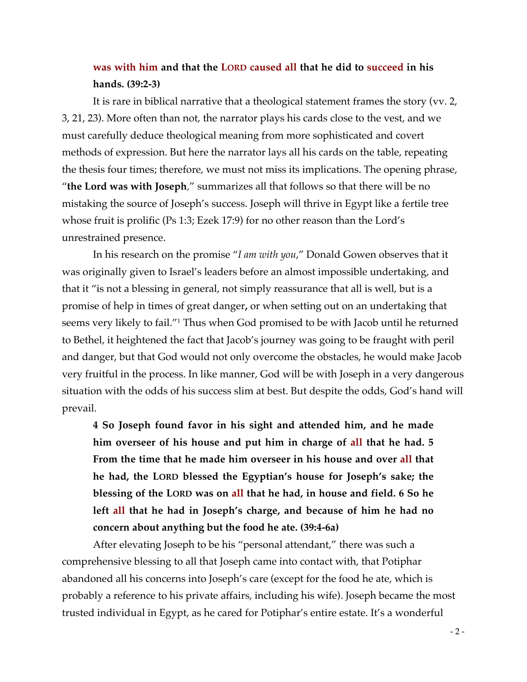# **was with him and that the LORD caused all that he did to succeed in his hands. (39:2-3)**

It is rare in biblical narrative that a theological statement frames the story (vv. 2, 3, 21, 23). More often than not, the narrator plays his cards close to the vest, and we must carefully deduce theological meaning from more sophisticated and covert methods of expression. But here the narrator lays all his cards on the table, repeating the thesis four times; therefore, we must not miss its implications. The opening phrase, "**the Lord was with Joseph***,*" summarizes all that follows so that there will be no mistaking the source of Joseph's success. Joseph will thrive in Egypt like a fertile tree whose fruit is prolific (Ps 1:3; Ezek 17:9) for no other reason than the Lord's unrestrained presence.

In his research on the promise "*I am with you*," Donald Gowen observes that it was originally given to Israel's leaders before an almost impossible undertaking, and that it "is not a blessing in general, not simply reassurance that all is well, but is a promise of help in times of great danger**,** or when setting out on an undertaking that seems very likely to fail."1 Thus when God promised to be with Jacob until he returned to Bethel, it heightened the fact that Jacob's journey was going to be fraught with peril and danger, but that God would not only overcome the obstacles, he would make Jacob very fruitful in the process. In like manner, God will be with Joseph in a very dangerous situation with the odds of his success slim at best. But despite the odds, God's hand will prevail.

**4 So Joseph found favor in his sight and attended him, and he made him overseer of his house and put him in charge of all that he had. 5 From the time that he made him overseer in his house and over all that he had, the LORD blessed the Egyptian's house for Joseph's sake; the blessing of the LORD was on all that he had, in house and field. 6 So he left all that he had in Joseph's charge, and because of him he had no concern about anything but the food he ate. (39:4-6a)**

After elevating Joseph to be his "personal attendant," there was such a comprehensive blessing to all that Joseph came into contact with, that Potiphar abandoned all his concerns into Joseph's care (except for the food he ate, which is probably a reference to his private affairs, including his wife). Joseph became the most trusted individual in Egypt, as he cared for Potiphar's entire estate. It's a wonderful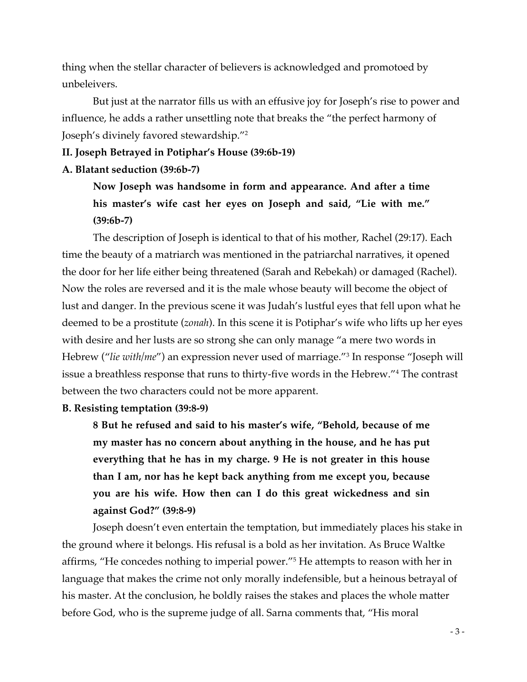thing when the stellar character of believers is acknowledged and promotoed by unbeleivers.

But just at the narrator fills us with an effusive joy for Joseph's rise to power and influence, he adds a rather unsettling note that breaks the "the perfect harmony of Joseph's divinely favored stewardship."2

# **II. Joseph Betrayed in Potiphar's House (39:6b-19)**

### **A. Blatant seduction (39:6b-7)**

**Now Joseph was handsome in form and appearance. And after a time his master's wife cast her eyes on Joseph and said, "Lie with me." (39:6b-7)**

The description of Joseph is identical to that of his mother, Rachel (29:17). Each time the beauty of a matriarch was mentioned in the patriarchal narratives, it opened the door for her life either being threatened (Sarah and Rebekah) or damaged (Rachel). Now the roles are reversed and it is the male whose beauty will become the object of lust and danger. In the previous scene it was Judah's lustful eyes that fell upon what he deemed to be a prostitute (*zonah*). In this scene it is Potiphar's wife who lifts up her eyes with desire and her lusts are so strong she can only manage "a mere two words in Hebrew ("*lie with/me*") an expression never used of marriage."3 In response "Joseph will issue a breathless response that runs to thirty-five words in the Hebrew."4 The contrast between the two characters could not be more apparent.

### **B. Resisting temptation (39:8-9)**

**8 But he refused and said to his master's wife, "Behold, because of me my master has no concern about anything in the house, and he has put everything that he has in my charge. 9 He is not greater in this house than I am, nor has he kept back anything from me except you, because you are his wife. How then can I do this great wickedness and sin against God?" (39:8-9)**

Joseph doesn't even entertain the temptation, but immediately places his stake in the ground where it belongs. His refusal is a bold as her invitation. As Bruce Waltke affirms, "He concedes nothing to imperial power."5 He attempts to reason with her in language that makes the crime not only morally indefensible, but a heinous betrayal of his master. At the conclusion, he boldly raises the stakes and places the whole matter before God, who is the supreme judge of all. Sarna comments that, "His moral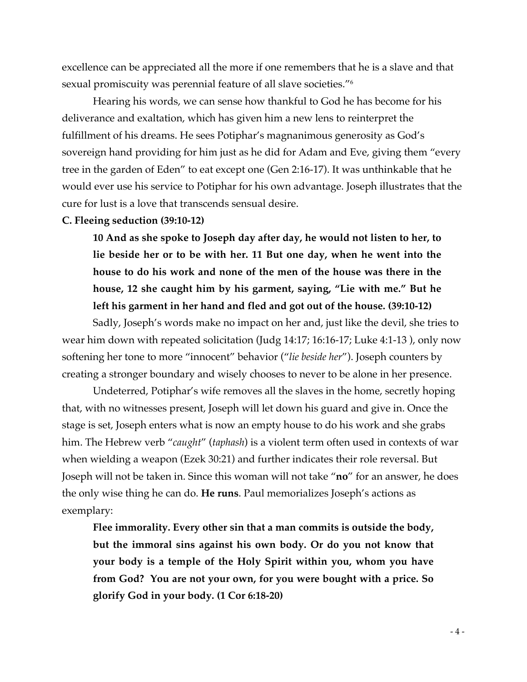excellence can be appreciated all the more if one remembers that he is a slave and that sexual promiscuity was perennial feature of all slave societies."6

Hearing his words, we can sense how thankful to God he has become for his deliverance and exaltation, which has given him a new lens to reinterpret the fulfillment of his dreams. He sees Potiphar's magnanimous generosity as God's sovereign hand providing for him just as he did for Adam and Eve, giving them "every tree in the garden of Eden" to eat except one (Gen 2:16-17). It was unthinkable that he would ever use his service to Potiphar for his own advantage. Joseph illustrates that the cure for lust is a love that transcends sensual desire.

#### **C. Fleeing seduction (39:10-12)**

**10 And as she spoke to Joseph day after day, he would not listen to her, to lie beside her or to be with her. 11 But one day, when he went into the house to do his work and none of the men of the house was there in the house, 12 she caught him by his garment, saying, "Lie with me." But he left his garment in her hand and fled and got out of the house. (39:10-12)**

Sadly, Joseph's words make no impact on her and, just like the devil, she tries to wear him down with repeated solicitation (Judg 14:17; 16:16-17; Luke 4:1-13 ), only now softening her tone to more "innocent" behavior ("*lie beside her*"). Joseph counters by creating a stronger boundary and wisely chooses to never to be alone in her presence.

Undeterred, Potiphar's wife removes all the slaves in the home, secretly hoping that, with no witnesses present, Joseph will let down his guard and give in. Once the stage is set, Joseph enters what is now an empty house to do his work and she grabs him. The Hebrew verb "*caught*" (*taphash*) is a violent term often used in contexts of war when wielding a weapon (Ezek 30:21) and further indicates their role reversal. But Joseph will not be taken in. Since this woman will not take "**no**" for an answer, he does the only wise thing he can do. **He runs**. Paul memorializes Joseph's actions as exemplary:

**Flee immorality. Every other sin that a man commits is outside the body, but the immoral sins against his own body. Or do you not know that your body is a temple of the Holy Spirit within you, whom you have from God? You are not your own, for you were bought with a price. So glorify God in your body. (1 Cor 6:18-20)**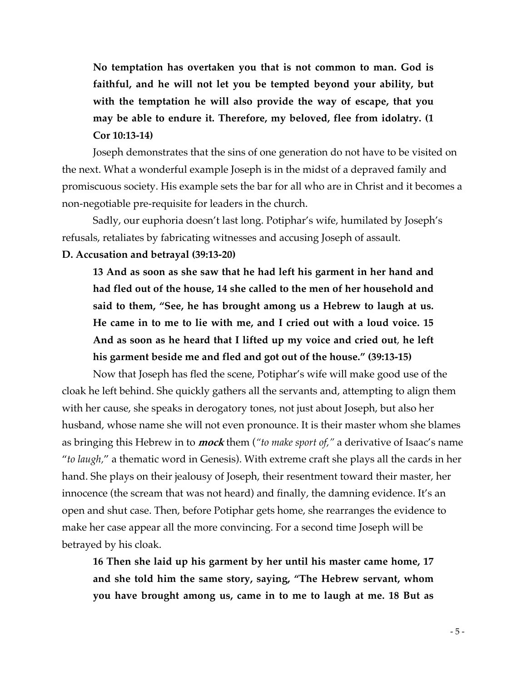**No temptation has overtaken you that is not common to man. God is faithful, and he will not let you be tempted beyond your ability, but with the temptation he will also provide the way of escape, that you may be able to endure it. Therefore, my beloved, flee from idolatry. (1 Cor 10:13-14)**

Joseph demonstrates that the sins of one generation do not have to be visited on the next. What a wonderful example Joseph is in the midst of a depraved family and promiscuous society. His example sets the bar for all who are in Christ and it becomes a non-negotiable pre-requisite for leaders in the church.

Sadly, our euphoria doesn't last long. Potiphar's wife, humilated by Joseph's refusals, retaliates by fabricating witnesses and accusing Joseph of assault.

# **D. Accusation and betrayal (39:13-20)**

**13 And as soon as she saw that he had left his garment in her hand and had fled out of the house, 14 she called to the men of her household and said to them, "See, he has brought among us a Hebrew to laugh at us. He came in to me to lie with me, and I cried out with a loud voice. 15 And as soon as he heard that I lifted up my voice and cried out**, **he left his garment beside me and fled and got out of the house." (39:13-15)**

Now that Joseph has fled the scene, Potiphar's wife will make good use of the cloak he left behind. She quickly gathers all the servants and, attempting to align them with her cause, she speaks in derogatory tones, not just about Joseph, but also her husband, whose name she will not even pronounce. It is their master whom she blames as bringing this Hebrew in to **mock** them (*"to make sport of,"* a derivative of Isaac's name "*to laugh,*" a thematic word in Genesis). With extreme craft she plays all the cards in her hand. She plays on their jealousy of Joseph, their resentment toward their master, her innocence (the scream that was not heard) and finally, the damning evidence. It's an open and shut case. Then, before Potiphar gets home, she rearranges the evidence to make her case appear all the more convincing. For a second time Joseph will be betrayed by his cloak.

**16 Then she laid up his garment by her until his master came home, 17 and she told him the same story, saying, "The Hebrew servant, whom you have brought among us, came in to me to laugh at me. 18 But as**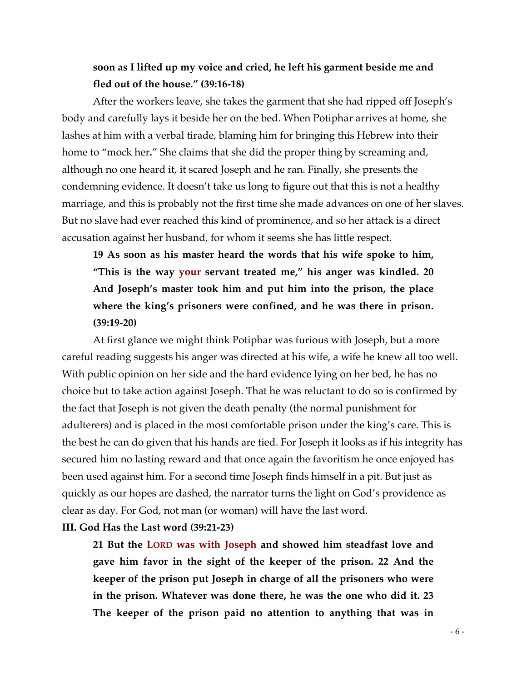# **soon as I lifted up my voice and cried, he left his garment beside me and fled out of the house." (39:16-18)**

After the workers leave, she takes the garment that she had ripped off Joseph's body and carefully lays it beside her on the bed. When Potiphar arrives at home, she lashes at him with a verbal tirade, blaming him for bringing this Hebrew into their home to "mock her**.**" She claims that she did the proper thing by screaming and, although no one heard it, it scared Joseph and he ran. Finally, she presents the condemning evidence. It doesn't take us long to figure out that this is not a healthy marriage, and this is probably not the first time she made advances on one of her slaves. But no slave had ever reached this kind of prominence, and so her attack is a direct accusation against her husband, for whom it seems she has little respect.

**19 As soon as his master heard the words that his wife spoke to him, "This is the way your servant treated me," his anger was kindled. 20 And Joseph's master took him and put him into the prison, the place where the king's prisoners were confined, and he was there in prison. (39:19-20)**

At first glance we might think Potiphar was furious with Joseph, but a more careful reading suggests his anger was directed at his wife, a wife he knew all too well. With public opinion on her side and the hard evidence lying on her bed, he has no choice but to take action against Joseph. That he was reluctant to do so is confirmed by the fact that Joseph is not given the death penalty (the normal punishment for adulterers) and is placed in the most comfortable prison under the king's care. This is the best he can do given that his hands are tied. For Joseph it looks as if his integrity has secured him no lasting reward and that once again the favoritism he once enjoyed has been used against him. For a second time Joseph finds himself in a pit. But just as quickly as our hopes are dashed, the narrator turns the light on God's providence as clear as day. For God, not man (or woman) will have the last word.

# **III. God Has the Last word (39:21-23)**

**21 But the LORD was with Joseph and showed him steadfast love and gave him favor in the sight of the keeper of the prison. 22 And the keeper of the prison put Joseph in charge of all the prisoners who were in the prison. Whatever was done there, he was the one who did it. 23 The keeper of the prison paid no attention to anything that was in**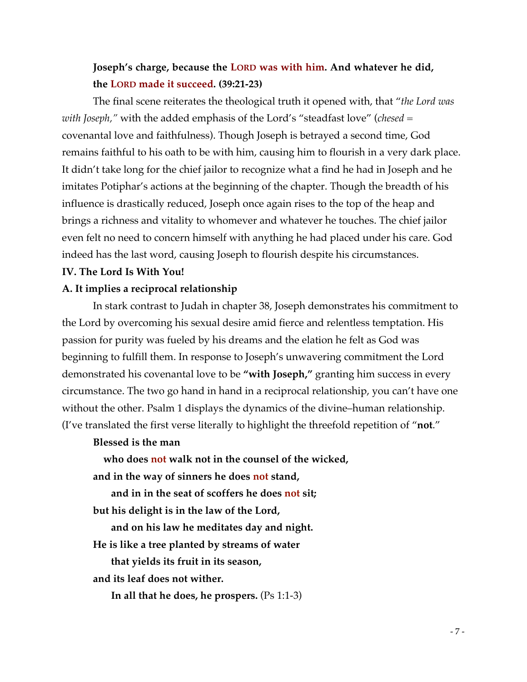# **Joseph's charge, because the LORD was with him. And whatever he did, the LORD made it succeed. (39:21-23)**

The final scene reiterates the theological truth it opened with, that "*the Lord was with Joseph,"* with the added emphasis of the Lord's "steadfast love" (*chesed* = covenantal love and faithfulness). Though Joseph is betrayed a second time, God remains faithful to his oath to be with him, causing him to flourish in a very dark place. It didn't take long for the chief jailor to recognize what a find he had in Joseph and he imitates Potiphar's actions at the beginning of the chapter. Though the breadth of his influence is drastically reduced, Joseph once again rises to the top of the heap and brings a richness and vitality to whomever and whatever he touches. The chief jailor even felt no need to concern himself with anything he had placed under his care. God indeed has the last word, causing Joseph to flourish despite his circumstances.

### **IV. The Lord Is With You!**

# **A. It implies a reciprocal relationship**

In stark contrast to Judah in chapter 38, Joseph demonstrates his commitment to the Lord by overcoming his sexual desire amid fierce and relentless temptation. His passion for purity was fueled by his dreams and the elation he felt as God was beginning to fulfill them. In response to Joseph's unwavering commitment the Lord demonstrated his covenantal love to be **"with Joseph,"** granting him success in every circumstance. The two go hand in hand in a reciprocal relationship, you can't have one without the other. Psalm 1 displays the dynamics of the divine–human relationship. (I've translated the first verse literally to highlight the threefold repetition of "**not**."

# **Blessed is the man**

 **who does not walk not in the counsel of the wicked,**

**and in the way of sinners he does not stand,**

**and in in the seat of scoffers he does not sit;**

**but his delight is in the law of the Lord,**

**and on his law he meditates day and night.**

**He is like a tree planted by streams of water**

**that yields its fruit in its season,**

**and its leaf does not wither.**

**In all that he does, he prospers.** (Ps 1:1-3)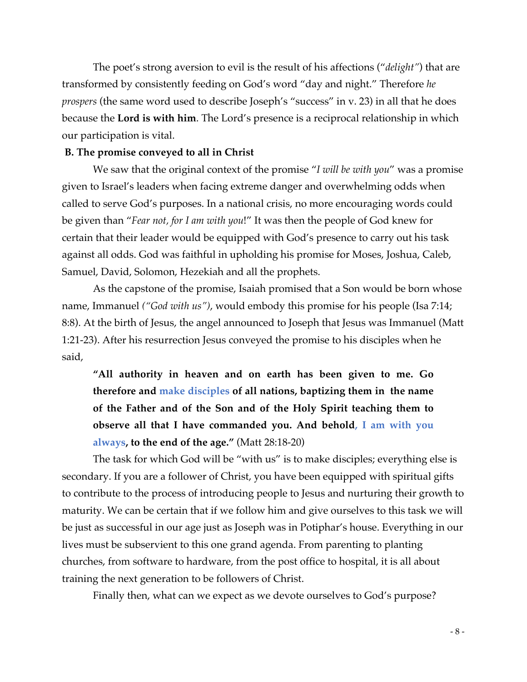The poet's strong aversion to evil is the result of his affections ("*delight"*) that are transformed by consistently feeding on God's word "day and night." Therefore *he prospers* (the same word used to describe Joseph's "success" in v. 23) in all that he does because the **Lord is with him**. The Lord's presence is a reciprocal relationship in which our participation is vital.

# **B. The promise conveyed to all in Christ**

We saw that the original context of the promise "*I will be with you*" was a promise given to Israel's leaders when facing extreme danger and overwhelming odds when called to serve God's purposes. In a national crisis, no more encouraging words could be given than "*Fear not, for I am with you*!" It was then the people of God knew for certain that their leader would be equipped with God's presence to carry out his task against all odds. God was faithful in upholding his promise for Moses, Joshua, Caleb, Samuel, David, Solomon, Hezekiah and all the prophets.

As the capstone of the promise, Isaiah promised that a Son would be born whose name, Immanuel *("God with us")*, would embody this promise for his people (Isa 7:14; 8:8). At the birth of Jesus, the angel announced to Joseph that Jesus was Immanuel (Matt 1:21-23). After his resurrection Jesus conveyed the promise to his disciples when he said,

**"All authority in heaven and on earth has been given to me. Go therefore and make disciples of all nations, baptizing them in the name of the Father and of the Son and of the Holy Spirit teaching them to observe all that I have commanded you. And behold, I am with you always, to the end of the age."** (Matt 28:18-20)

The task for which God will be "with us" is to make disciples; everything else is secondary. If you are a follower of Christ, you have been equipped with spiritual gifts to contribute to the process of introducing people to Jesus and nurturing their growth to maturity. We can be certain that if we follow him and give ourselves to this task we will be just as successful in our age just as Joseph was in Potiphar's house. Everything in our lives must be subservient to this one grand agenda. From parenting to planting churches, from software to hardware, from the post office to hospital, it is all about training the next generation to be followers of Christ.

Finally then, what can we expect as we devote ourselves to God's purpose?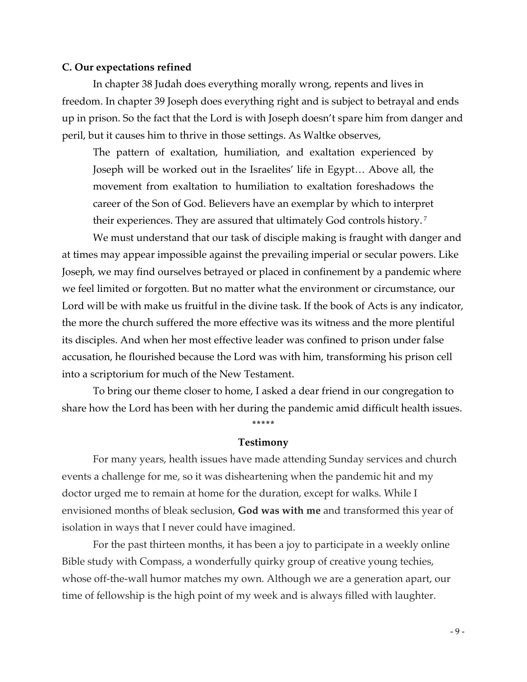#### **C. Our expectations refined**

In chapter 38 Judah does everything morally wrong, repents and lives in freedom. In chapter 39 Joseph does everything right and is subject to betrayal and ends up in prison. So the fact that the Lord is with Joseph doesn't spare him from danger and peril, but it causes him to thrive in those settings. As Waltke observes,

The pattern of exaltation, humiliation, and exaltation experienced by Joseph will be worked out in the Israelites' life in Egypt… Above all, the movement from exaltation to humiliation to exaltation foreshadows the career of the Son of God. Believers have an exemplar by which to interpret their experiences. They are assured that ultimately God controls history. <sup>7</sup>

We must understand that our task of disciple making is fraught with danger and at times may appear impossible against the prevailing imperial or secular powers. Like Joseph, we may find ourselves betrayed or placed in confinement by a pandemic where we feel limited or forgotten. But no matter what the environment or circumstance, our Lord will be with make us fruitful in the divine task. If the book of Acts is any indicator, the more the church suffered the more effective was its witness and the more plentiful its disciples. And when her most effective leader was confined to prison under false accusation, he flourished because the Lord was with him, transforming his prison cell into a scriptorium for much of the New Testament.

To bring our theme closer to home, I asked a dear friend in our congregation to share how the Lord has been with her during the pandemic amid difficult health issues.

**\*\*\*\*\***

# **Testimony**

For many years, health issues have made attending Sunday services and church events a challenge for me, so it was disheartening when the pandemic hit and my doctor urged me to remain at home for the duration, except for walks. While I envisioned months of bleak seclusion, **God was with me** and transformed this year of isolation in ways that I never could have imagined.

 For the past thirteen months, it has been a joy to participate in a weekly online Bible study with Compass, a wonderfully quirky group of creative young techies, whose off-the-wall humor matches my own. Although we are a generation apart, our time of fellowship is the high point of my week and is always filled with laughter.